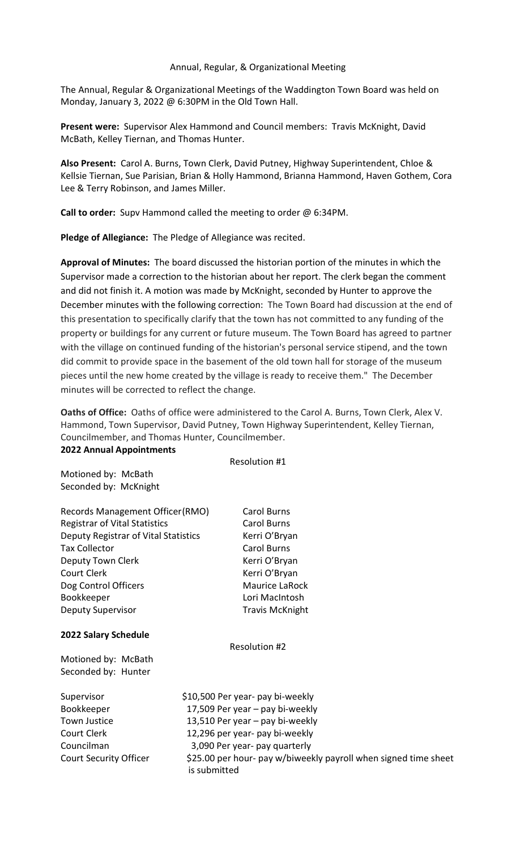### Annual, Regular, & Organizational Meeting

The Annual, Regular & Organizational Meetings of the Waddington Town Board was held on Monday, January 3, 2022 @ 6:30PM in the Old Town Hall.

Present were: Supervisor Alex Hammond and Council members: Travis McKnight, David McBath, Kelley Tiernan, and Thomas Hunter.

Also Present: Carol A. Burns, Town Clerk, David Putney, Highway Superintendent, Chloe & Kellsie Tiernan, Sue Parisian, Brian & Holly Hammond, Brianna Hammond, Haven Gothem, Cora Lee & Terry Robinson, and James Miller.

Call to order: Supv Hammond called the meeting to order @ 6:34PM.

Pledge of Allegiance: The Pledge of Allegiance was recited.

Approval of Minutes: The board discussed the historian portion of the minutes in which the Supervisor made a correction to the historian about her report. The clerk began the comment and did not finish it. A motion was made by McKnight, seconded by Hunter to approve the December minutes with the following correction: The Town Board had discussion at the end of this presentation to specifically clarify that the town has not committed to any funding of the property or buildings for any current or future museum. The Town Board has agreed to partner with the village on continued funding of the historian's personal service stipend, and the town did commit to provide space in the basement of the old town hall for storage of the museum pieces until the new home created by the village is ready to receive them." The December minutes will be corrected to reflect the change.

Oaths of Office: Oaths of office were administered to the Carol A. Burns, Town Clerk, Alex V. Hammond, Town Supervisor, David Putney, Town Highway Superintendent, Kelley Tiernan, Councilmember, and Thomas Hunter, Councilmember.

#### 2022 Annual Appointments

Resolution #1 Motioned by: McBath Seconded by: McKnight Records Management Officer (RMO) Carol Burns Registrar of Vital Statistics **Carol Burns** Deputy Registrar of Vital Statistics Kerri O'Bryan Tax Collector **Carol Burns** Deputy Town Clerk Kerri O'Bryan Court Clerk **Kerri O'Bryan** Dog Control Officers Maurice LaRock Bookkeeper Lori MacIntosh Deputy Supervisor **National Stravis McKnight** 2022 Salary Schedule Resolution #2 Motioned by: McBath Seconded by: Hunter Supervisor \$10,500 Per year- pay bi-weekly Bookkeeper 17,509 Per year – pay bi-weekly Town Justice 13,510 Per year – pay bi-weekly Court Clerk 12,296 per year- pay bi-weekly Councilman 3,090 Per year- pay quarterly Court Security Officer  $\frac{1}{25.00}$  per hour- pay w/biweekly payroll when signed time sheet is submitted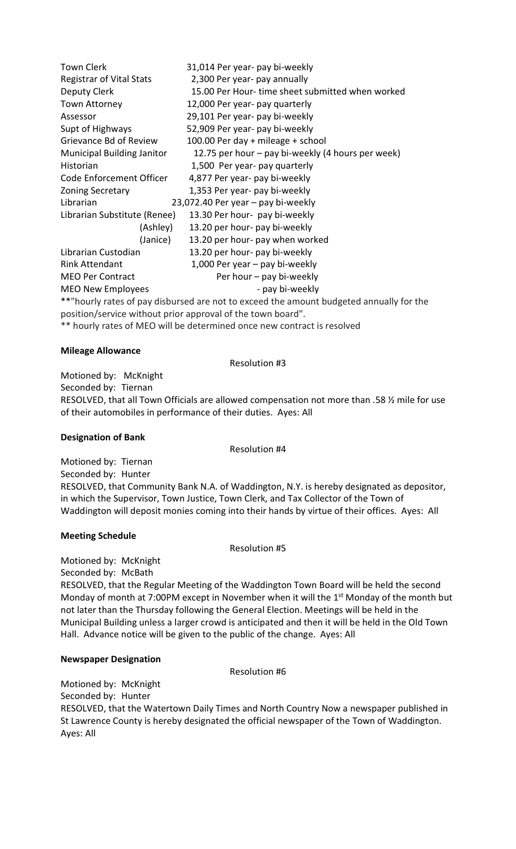Town Clerk 31,014 Per year- pay bi-weekly Registrar of Vital Stats 2,300 Per year- pay annually Deputy Clerk 15.00 Per Hour- time sheet submitted when worked Town Attorney 12,000 Per year- pay quarterly Assessor 29,101 Per year- pay bi-weekly Supt of Highways 52,909 Per year- pay bi-weekly Grievance Bd of Review 100.00 Per day + mileage + school Municipal Building Janitor 12.75 per hour – pay bi-weekly (4 hours per week) Historian 1,500 Per year- pay quarterly Code Enforcement Officer 4,877 Per year- pay bi-weekly Zoning Secretary 1,353 Per year- pay bi-weekly Librarian 23,072.40 Per year – pay bi-weekly Librarian Substitute (Renee) 13.30 Per hour- pay bi-weekly (Ashley) 13.20 per hour- pay bi-weekly (Janice) 13.20 per hour- pay when worked Librarian Custodian 13.20 per hour- pay bi-weekly Rink Attendant 1,000 Per year – pay bi-weekly MEO Per Contract Per hour – pay bi-weekly MEO New Employees example a pay bi-weekly \*\*"hourly rates of pay disbursed are not to exceed the amount budgeted annually for the position/service without prior approval of the town board".

\*\* hourly rates of MEO will be determined once new contract is resolved

## Mileage Allowance

Resolution #3

Motioned by: McKnight Seconded by: Tiernan RESOLVED, that all Town Officials are allowed compensation not more than .58 ½ mile for use of their automobiles in performance of their duties. Ayes: All

#### Designation of Bank

Resolution #4

Motioned by: Tiernan Seconded by: Hunter RESOLVED, that Community Bank N.A. of Waddington, N.Y. is hereby designated as depositor, in which the Supervisor, Town Justice, Town Clerk, and Tax Collector of the Town of Waddington will deposit monies coming into their hands by virtue of their offices. Ayes: All

## Meeting Schedule

Resolution #5

Motioned by: McKnight

Seconded by: McBath

RESOLVED, that the Regular Meeting of the Waddington Town Board will be held the second Monday of month at 7:00PM except in November when it will the 1<sup>st</sup> Monday of the month but not later than the Thursday following the General Election. Meetings will be held in the Municipal Building unless a larger crowd is anticipated and then it will be held in the Old Town Hall. Advance notice will be given to the public of the change. Ayes: All

## Newspaper Designation

Resolution #6

Motioned by: McKnight Seconded by: Hunter RESOLVED, that the Watertown Daily Times and North Country Now a newspaper published in St Lawrence County is hereby designated the official newspaper of the Town of Waddington. Ayes: All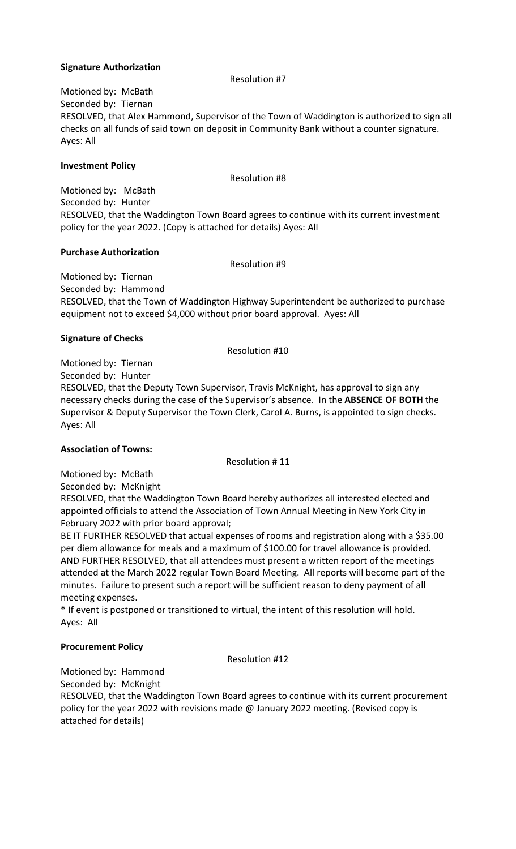## Signature Authorization

Resolution #7

Motioned by: McBath Seconded by: Tiernan RESOLVED, that Alex Hammond, Supervisor of the Town of Waddington is authorized to sign all checks on all funds of said town on deposit in Community Bank without a counter signature. Ayes: All

## Investment Policy

Resolution #8

Motioned by: McBath Seconded by: Hunter RESOLVED, that the Waddington Town Board agrees to continue with its current investment policy for the year 2022. (Copy is attached for details) Ayes: All

# Purchase Authorization

Resolution #9

Motioned by: Tiernan Seconded by: Hammond RESOLVED, that the Town of Waddington Highway Superintendent be authorized to purchase equipment not to exceed \$4,000 without prior board approval. Ayes: All

# Signature of Checks

Resolution #10

Motioned by: Tiernan

Seconded by: Hunter

RESOLVED, that the Deputy Town Supervisor, Travis McKnight, has approval to sign any necessary checks during the case of the Supervisor's absence. In the ABSENCE OF BOTH the Supervisor & Deputy Supervisor the Town Clerk, Carol A. Burns, is appointed to sign checks. Ayes: All

# Association of Towns:

Resolution # 11

Motioned by: McBath Seconded by: McKnight

RESOLVED, that the Waddington Town Board hereby authorizes all interested elected and appointed officials to attend the Association of Town Annual Meeting in New York City in February 2022 with prior board approval;

BE IT FURTHER RESOLVED that actual expenses of rooms and registration along with a \$35.00 per diem allowance for meals and a maximum of \$100.00 for travel allowance is provided. AND FURTHER RESOLVED, that all attendees must present a written report of the meetings attended at the March 2022 regular Town Board Meeting. All reports will become part of the minutes. Failure to present such a report will be sufficient reason to deny payment of all meeting expenses.

\* If event is postponed or transitioned to virtual, the intent of this resolution will hold. Ayes: All

# Procurement Policy

Resolution #12

Motioned by: Hammond

Seconded by: McKnight RESOLVED, that the Waddington Town Board agrees to continue with its current procurement policy for the year 2022 with revisions made @ January 2022 meeting. (Revised copy is attached for details)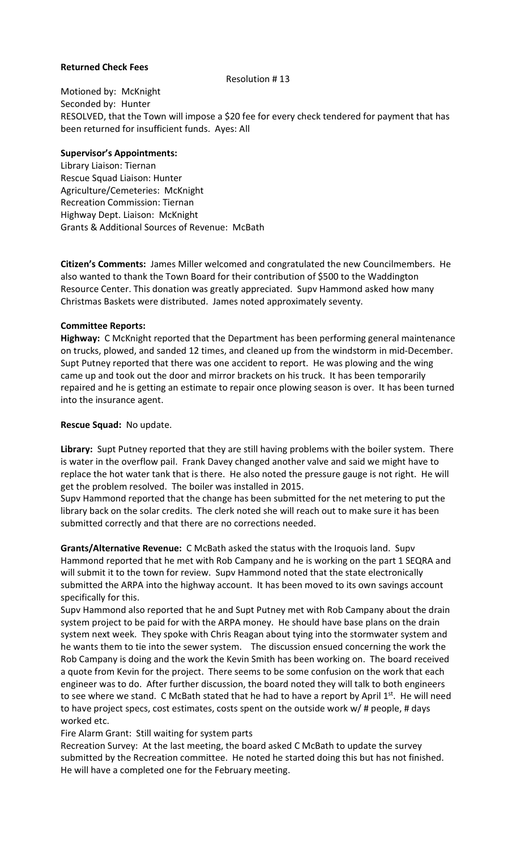### Returned Check Fees

#### Resolution # 13

Motioned by: McKnight Seconded by: Hunter RESOLVED, that the Town will impose a \$20 fee for every check tendered for payment that has been returned for insufficient funds. Ayes: All

## Supervisor's Appointments:

Library Liaison: Tiernan Rescue Squad Liaison: Hunter Agriculture/Cemeteries: McKnight Recreation Commission: Tiernan Highway Dept. Liaison: McKnight Grants & Additional Sources of Revenue: McBath

Citizen's Comments: James Miller welcomed and congratulated the new Councilmembers. He also wanted to thank the Town Board for their contribution of \$500 to the Waddington Resource Center. This donation was greatly appreciated. Supv Hammond asked how many Christmas Baskets were distributed. James noted approximately seventy.

### Committee Reports:

Highway: C McKnight reported that the Department has been performing general maintenance on trucks, plowed, and sanded 12 times, and cleaned up from the windstorm in mid-December. Supt Putney reported that there was one accident to report. He was plowing and the wing came up and took out the door and mirror brackets on his truck. It has been temporarily repaired and he is getting an estimate to repair once plowing season is over. It has been turned into the insurance agent.

### Rescue Squad: No update.

Library: Supt Putney reported that they are still having problems with the boiler system. There is water in the overflow pail. Frank Davey changed another valve and said we might have to replace the hot water tank that is there. He also noted the pressure gauge is not right. He will get the problem resolved. The boiler was installed in 2015.

Supv Hammond reported that the change has been submitted for the net metering to put the library back on the solar credits. The clerk noted she will reach out to make sure it has been submitted correctly and that there are no corrections needed.

Grants/Alternative Revenue: C McBath asked the status with the Iroquois land. Supv Hammond reported that he met with Rob Campany and he is working on the part 1 SEQRA and will submit it to the town for review. Supv Hammond noted that the state electronically submitted the ARPA into the highway account. It has been moved to its own savings account specifically for this.

Supv Hammond also reported that he and Supt Putney met with Rob Campany about the drain system project to be paid for with the ARPA money. He should have base plans on the drain system next week. They spoke with Chris Reagan about tying into the stormwater system and he wants them to tie into the sewer system. The discussion ensued concerning the work the Rob Campany is doing and the work the Kevin Smith has been working on. The board received a quote from Kevin for the project. There seems to be some confusion on the work that each engineer was to do. After further discussion, the board noted they will talk to both engineers to see where we stand. C McBath stated that he had to have a report by April  $1^{st}$ . He will need to have project specs, cost estimates, costs spent on the outside work w/ # people, # days worked etc.

Fire Alarm Grant: Still waiting for system parts

Recreation Survey: At the last meeting, the board asked C McBath to update the survey submitted by the Recreation committee. He noted he started doing this but has not finished. He will have a completed one for the February meeting.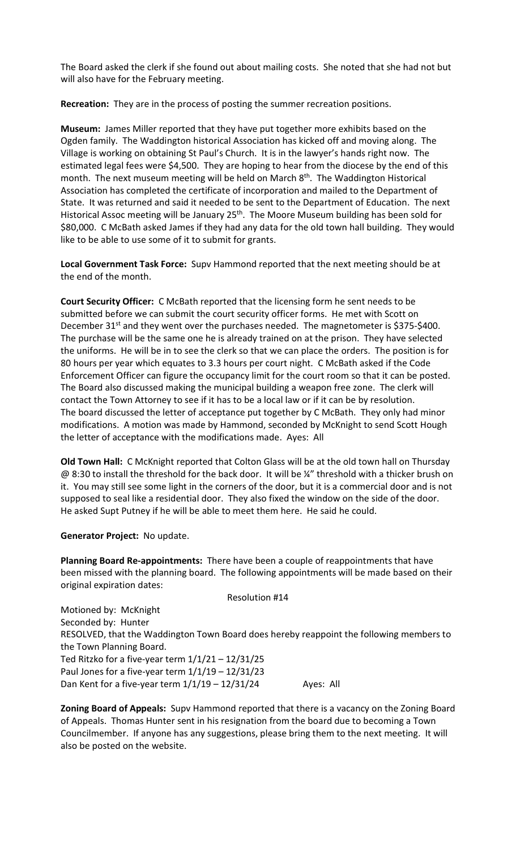The Board asked the clerk if she found out about mailing costs. She noted that she had not but will also have for the February meeting.

Recreation: They are in the process of posting the summer recreation positions.

Museum: James Miller reported that they have put together more exhibits based on the Ogden family. The Waddington historical Association has kicked off and moving along. The Village is working on obtaining St Paul's Church. It is in the lawyer's hands right now. The estimated legal fees were \$4,500. They are hoping to hear from the diocese by the end of this month. The next museum meeting will be held on March 8th. The Waddington Historical Association has completed the certificate of incorporation and mailed to the Department of State. It was returned and said it needed to be sent to the Department of Education. The next Historical Assoc meeting will be January 25<sup>th</sup>. The Moore Museum building has been sold for \$80,000. C McBath asked James if they had any data for the old town hall building. They would like to be able to use some of it to submit for grants.

Local Government Task Force: Supv Hammond reported that the next meeting should be at the end of the month.

Court Security Officer: C McBath reported that the licensing form he sent needs to be submitted before we can submit the court security officer forms. He met with Scott on December 31<sup>st</sup> and they went over the purchases needed. The magnetometer is \$375-\$400. The purchase will be the same one he is already trained on at the prison. They have selected the uniforms. He will be in to see the clerk so that we can place the orders. The position is for 80 hours per year which equates to 3.3 hours per court night. C McBath asked if the Code Enforcement Officer can figure the occupancy limit for the court room so that it can be posted. The Board also discussed making the municipal building a weapon free zone. The clerk will contact the Town Attorney to see if it has to be a local law or if it can be by resolution. The board discussed the letter of acceptance put together by C McBath. They only had minor modifications. A motion was made by Hammond, seconded by McKnight to send Scott Hough the letter of acceptance with the modifications made. Ayes: All

Old Town Hall: C McKnight reported that Colton Glass will be at the old town hall on Thursday @ 8:30 to install the threshold for the back door. It will be ¼" threshold with a thicker brush on it. You may still see some light in the corners of the door, but it is a commercial door and is not supposed to seal like a residential door. They also fixed the window on the side of the door. He asked Supt Putney if he will be able to meet them here. He said he could.

Generator Project: No update.

Planning Board Re-appointments: There have been a couple of reappointments that have been missed with the planning board. The following appointments will be made based on their original expiration dates:

| <b>Resolution #14</b> |  |  |  |
|-----------------------|--|--|--|
|-----------------------|--|--|--|

Motioned by: McKnight Seconded by: Hunter RESOLVED, that the Waddington Town Board does hereby reappoint the following members to the Town Planning Board. Ted Ritzko for a five-year term  $1/1/21 - 12/31/25$ Paul Jones for a five-year term 1/1/19 – 12/31/23 Dan Kent for a five-year term  $1/1/19 - 12/31/24$  Ayes: All

Zoning Board of Appeals: Supv Hammond reported that there is a vacancy on the Zoning Board of Appeals. Thomas Hunter sent in his resignation from the board due to becoming a Town Councilmember. If anyone has any suggestions, please bring them to the next meeting. It will also be posted on the website.